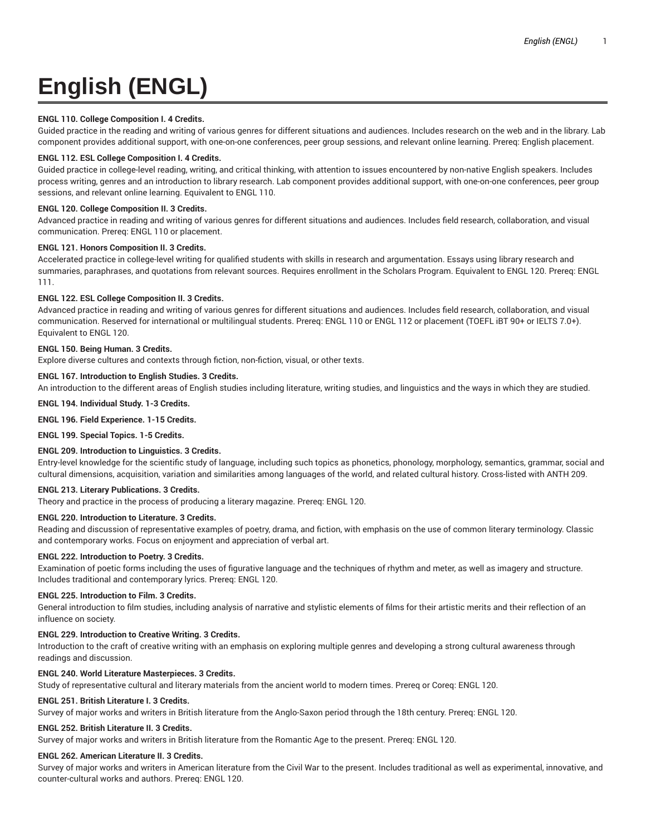# **English (ENGL)**

# **ENGL 110. College Composition I. 4 Credits.**

Guided practice in the reading and writing of various genres for different situations and audiences. Includes research on the web and in the library. Lab component provides additional support, with one-on-one conferences, peer group sessions, and relevant online learning. Prereq: English placement.

# **ENGL 112. ESL College Composition I. 4 Credits.**

Guided practice in college-level reading, writing, and critical thinking, with attention to issues encountered by non-native English speakers. Includes process writing, genres and an introduction to library research. Lab component provides additional support, with one-on-one conferences, peer group sessions, and relevant online learning. Equivalent to ENGL 110.

## **ENGL 120. College Composition II. 3 Credits.**

Advanced practice in reading and writing of various genres for different situations and audiences. Includes field research, collaboration, and visual communication. Prereq: ENGL 110 or placement.

# **ENGL 121. Honors Composition II. 3 Credits.**

Accelerated practice in college-level writing for qualified students with skills in research and argumentation. Essays using library research and summaries, paraphrases, and quotations from relevant sources. Requires enrollment in the Scholars Program. Equivalent to ENGL 120. Prereq: ENGL 111.

# **ENGL 122. ESL College Composition II. 3 Credits.**

Advanced practice in reading and writing of various genres for different situations and audiences. Includes field research, collaboration, and visual communication. Reserved for international or multilingual students. Prereq: ENGL 110 or ENGL 112 or placement (TOEFL iBT 90+ or IELTS 7.0+). Equivalent to ENGL 120.

# **ENGL 150. Being Human. 3 Credits.**

Explore diverse cultures and contexts through fiction, non-fiction, visual, or other texts.

# **ENGL 167. Introduction to English Studies. 3 Credits.**

An introduction to the different areas of English studies including literature, writing studies, and linguistics and the ways in which they are studied.

## **ENGL 194. Individual Study. 1-3 Credits.**

**ENGL 196. Field Experience. 1-15 Credits.**

**ENGL 199. Special Topics. 1-5 Credits.**

# **ENGL 209. Introduction to Linguistics. 3 Credits.**

Entry-level knowledge for the scientific study of language, including such topics as phonetics, phonology, morphology, semantics, grammar, social and cultural dimensions, acquisition, variation and similarities among languages of the world, and related cultural history. Cross-listed with ANTH 209.

## **ENGL 213. Literary Publications. 3 Credits.**

Theory and practice in the process of producing a literary magazine. Prereq: ENGL 120.

## **ENGL 220. Introduction to Literature. 3 Credits.**

Reading and discussion of representative examples of poetry, drama, and fiction, with emphasis on the use of common literary terminology. Classic and contemporary works. Focus on enjoyment and appreciation of verbal art.

## **ENGL 222. Introduction to Poetry. 3 Credits.**

Examination of poetic forms including the uses of figurative language and the techniques of rhythm and meter, as well as imagery and structure. Includes traditional and contemporary lyrics. Prereq: ENGL 120.

## **ENGL 225. Introduction to Film. 3 Credits.**

General introduction to film studies, including analysis of narrative and stylistic elements of films for their artistic merits and their reflection of an influence on society.

## **ENGL 229. Introduction to Creative Writing. 3 Credits.**

Introduction to the craft of creative writing with an emphasis on exploring multiple genres and developing a strong cultural awareness through readings and discussion.

## **ENGL 240. World Literature Masterpieces. 3 Credits.**

Study of representative cultural and literary materials from the ancient world to modern times. Prereq or Coreq: ENGL 120.

## **ENGL 251. British Literature I. 3 Credits.**

Survey of major works and writers in British literature from the Anglo-Saxon period through the 18th century. Prereq: ENGL 120.

## **ENGL 252. British Literature II. 3 Credits.**

Survey of major works and writers in British literature from the Romantic Age to the present. Prereq: ENGL 120.

## **ENGL 262. American Literature II. 3 Credits.**

Survey of major works and writers in American literature from the Civil War to the present. Includes traditional as well as experimental, innovative, and counter-cultural works and authors. Prereq: ENGL 120.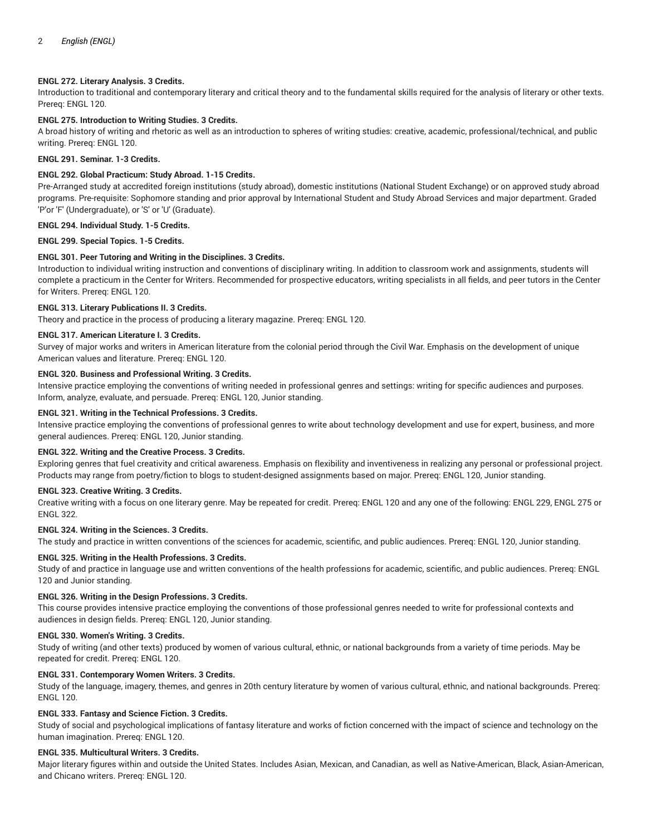## **ENGL 272. Literary Analysis. 3 Credits.**

Introduction to traditional and contemporary literary and critical theory and to the fundamental skills required for the analysis of literary or other texts. Prereq: ENGL 120.

## **ENGL 275. Introduction to Writing Studies. 3 Credits.**

A broad history of writing and rhetoric as well as an introduction to spheres of writing studies: creative, academic, professional/technical, and public writing. Prereq: ENGL 120.

## **ENGL 291. Seminar. 1-3 Credits.**

## **ENGL 292. Global Practicum: Study Abroad. 1-15 Credits.**

Pre-Arranged study at accredited foreign institutions (study abroad), domestic institutions (National Student Exchange) or on approved study abroad programs. Pre-requisite: Sophomore standing and prior approval by International Student and Study Abroad Services and major department. Graded 'P'or 'F' (Undergraduate), or 'S' or 'U' (Graduate).

## **ENGL 294. Individual Study. 1-5 Credits.**

**ENGL 299. Special Topics. 1-5 Credits.**

#### **ENGL 301. Peer Tutoring and Writing in the Disciplines. 3 Credits.**

Introduction to individual writing instruction and conventions of disciplinary writing. In addition to classroom work and assignments, students will complete a practicum in the Center for Writers. Recommended for prospective educators, writing specialists in all fields, and peer tutors in the Center for Writers. Prereq: ENGL 120.

## **ENGL 313. Literary Publications II. 3 Credits.**

Theory and practice in the process of producing a literary magazine. Prereq: ENGL 120.

#### **ENGL 317. American Literature I. 3 Credits.**

Survey of major works and writers in American literature from the colonial period through the Civil War. Emphasis on the development of unique American values and literature. Prereq: ENGL 120.

#### **ENGL 320. Business and Professional Writing. 3 Credits.**

Intensive practice employing the conventions of writing needed in professional genres and settings: writing for specific audiences and purposes. Inform, analyze, evaluate, and persuade. Prereq: ENGL 120, Junior standing.

#### **ENGL 321. Writing in the Technical Professions. 3 Credits.**

Intensive practice employing the conventions of professional genres to write about technology development and use for expert, business, and more general audiences. Prereq: ENGL 120, Junior standing.

#### **ENGL 322. Writing and the Creative Process. 3 Credits.**

Exploring genres that fuel creativity and critical awareness. Emphasis on flexibility and inventiveness in realizing any personal or professional project. Products may range from poetry/fiction to blogs to student-designed assignments based on major. Prereq: ENGL 120, Junior standing.

#### **ENGL 323. Creative Writing. 3 Credits.**

Creative writing with a focus on one literary genre. May be repeated for credit. Prereq: ENGL 120 and any one of the following: ENGL 229, ENGL 275 or ENGL 322.

#### **ENGL 324. Writing in the Sciences. 3 Credits.**

The study and practice in written conventions of the sciences for academic, scientific, and public audiences. Prereq: ENGL 120, Junior standing.

#### **ENGL 325. Writing in the Health Professions. 3 Credits.**

Study of and practice in language use and written conventions of the health professions for academic, scientific, and public audiences. Prereq: ENGL 120 and Junior standing.

## **ENGL 326. Writing in the Design Professions. 3 Credits.**

This course provides intensive practice employing the conventions of those professional genres needed to write for professional contexts and audiences in design fields. Prereq: ENGL 120, Junior standing.

#### **ENGL 330. Women's Writing. 3 Credits.**

Study of writing (and other texts) produced by women of various cultural, ethnic, or national backgrounds from a variety of time periods. May be repeated for credit. Prereq: ENGL 120.

## **ENGL 331. Contemporary Women Writers. 3 Credits.**

Study of the language, imagery, themes, and genres in 20th century literature by women of various cultural, ethnic, and national backgrounds. Prereq: ENGL 120.

## **ENGL 333. Fantasy and Science Fiction. 3 Credits.**

Study of social and psychological implications of fantasy literature and works of fiction concerned with the impact of science and technology on the human imagination. Prereq: ENGL 120.

## **ENGL 335. Multicultural Writers. 3 Credits.**

Major literary figures within and outside the United States. Includes Asian, Mexican, and Canadian, as well as Native-American, Black, Asian-American, and Chicano writers. Prereq: ENGL 120.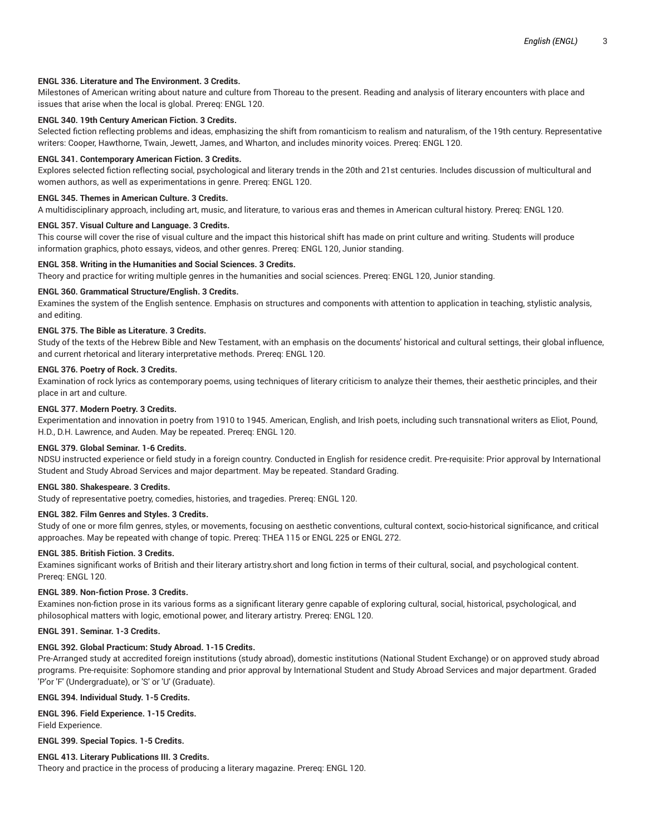# **ENGL 336. Literature and The Environment. 3 Credits.**

Milestones of American writing about nature and culture from Thoreau to the present. Reading and analysis of literary encounters with place and issues that arise when the local is global. Prereq: ENGL 120.

## **ENGL 340. 19th Century American Fiction. 3 Credits.**

Selected fiction reflecting problems and ideas, emphasizing the shift from romanticism to realism and naturalism, of the 19th century. Representative writers: Cooper, Hawthorne, Twain, Jewett, James, and Wharton, and includes minority voices. Prereq: ENGL 120.

#### **ENGL 341. Contemporary American Fiction. 3 Credits.**

Explores selected fiction reflecting social, psychological and literary trends in the 20th and 21st centuries. Includes discussion of multicultural and women authors, as well as experimentations in genre. Prereq: ENGL 120.

#### **ENGL 345. Themes in American Culture. 3 Credits.**

A multidisciplinary approach, including art, music, and literature, to various eras and themes in American cultural history. Prereq: ENGL 120.

## **ENGL 357. Visual Culture and Language. 3 Credits.**

This course will cover the rise of visual culture and the impact this historical shift has made on print culture and writing. Students will produce information graphics, photo essays, videos, and other genres. Prereq: ENGL 120, Junior standing.

#### **ENGL 358. Writing in the Humanities and Social Sciences. 3 Credits.**

Theory and practice for writing multiple genres in the humanities and social sciences. Prereq: ENGL 120, Junior standing.

#### **ENGL 360. Grammatical Structure/English. 3 Credits.**

Examines the system of the English sentence. Emphasis on structures and components with attention to application in teaching, stylistic analysis, and editing.

#### **ENGL 375. The Bible as Literature. 3 Credits.**

Study of the texts of the Hebrew Bible and New Testament, with an emphasis on the documents' historical and cultural settings, their global influence, and current rhetorical and literary interpretative methods. Prereq: ENGL 120.

#### **ENGL 376. Poetry of Rock. 3 Credits.**

Examination of rock lyrics as contemporary poems, using techniques of literary criticism to analyze their themes, their aesthetic principles, and their place in art and culture.

#### **ENGL 377. Modern Poetry. 3 Credits.**

Experimentation and innovation in poetry from 1910 to 1945. American, English, and Irish poets, including such transnational writers as Eliot, Pound, H.D., D.H. Lawrence, and Auden. May be repeated. Prereq: ENGL 120.

#### **ENGL 379. Global Seminar. 1-6 Credits.**

NDSU instructed experience or field study in a foreign country. Conducted in English for residence credit. Pre-requisite: Prior approval by International Student and Study Abroad Services and major department. May be repeated. Standard Grading.

#### **ENGL 380. Shakespeare. 3 Credits.**

Study of representative poetry, comedies, histories, and tragedies. Prereq: ENGL 120.

## **ENGL 382. Film Genres and Styles. 3 Credits.**

Study of one or more film genres, styles, or movements, focusing on aesthetic conventions, cultural context, socio-historical significance, and critical approaches. May be repeated with change of topic. Prereq: THEA 115 or ENGL 225 or ENGL 272.

#### **ENGL 385. British Fiction. 3 Credits.**

Examines significant works of British and their literary artistry.short and long fiction in terms of their cultural, social, and psychological content. Prereq: ENGL 120.

#### **ENGL 389. Non-fiction Prose. 3 Credits.**

Examines non-fiction prose in its various forms as a significant literary genre capable of exploring cultural, social, historical, psychological, and philosophical matters with logic, emotional power, and literary artistry. Prereq: ENGL 120.

#### **ENGL 391. Seminar. 1-3 Credits.**

## **ENGL 392. Global Practicum: Study Abroad. 1-15 Credits.**

Pre-Arranged study at accredited foreign institutions (study abroad), domestic institutions (National Student Exchange) or on approved study abroad programs. Pre-requisite: Sophomore standing and prior approval by International Student and Study Abroad Services and major department. Graded 'P'or 'F' (Undergraduate), or 'S' or 'U' (Graduate).

**ENGL 394. Individual Study. 1-5 Credits.**

## **ENGL 396. Field Experience. 1-15 Credits.**

Field Experience.

**ENGL 399. Special Topics. 1-5 Credits.**

#### **ENGL 413. Literary Publications III. 3 Credits.**

Theory and practice in the process of producing a literary magazine. Prereq: ENGL 120.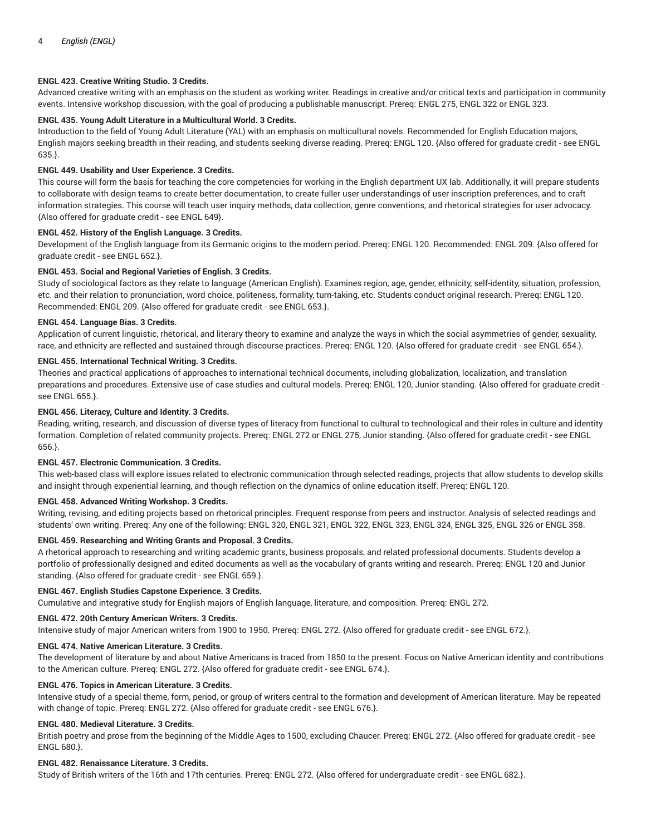## **ENGL 423. Creative Writing Studio. 3 Credits.**

Advanced creative writing with an emphasis on the student as working writer. Readings in creative and/or critical texts and participation in community events. Intensive workshop discussion, with the goal of producing a publishable manuscript. Prereq: ENGL 275, ENGL 322 or ENGL 323.

# **ENGL 435. Young Adult Literature in a Multicultural World. 3 Credits.**

Introduction to the field of Young Adult Literature (YAL) with an emphasis on multicultural novels. Recommended for English Education majors, English majors seeking breadth in their reading, and students seeking diverse reading. Prereq: ENGL 120. {Also offered for graduate credit - see ENGL 635.}.

## **ENGL 449. Usability and User Experience. 3 Credits.**

This course will form the basis for teaching the core competencies for working in the English department UX lab. Additionally, it will prepare students to collaborate with design teams to create better documentation, to create fuller user understandings of user inscription preferences, and to craft information strategies. This course will teach user inquiry methods, data collection, genre conventions, and rhetorical strategies for user advocacy. {Also offered for graduate credit - see ENGL 649}.

#### **ENGL 452. History of the English Language. 3 Credits.**

Development of the English language from its Germanic origins to the modern period. Prereq: ENGL 120. Recommended: ENGL 209. {Also offered for graduate credit - see ENGL 652.}.

#### **ENGL 453. Social and Regional Varieties of English. 3 Credits.**

Study of sociological factors as they relate to language (American English). Examines region, age, gender, ethnicity, self-identity, situation, profession, etc. and their relation to pronunciation, word choice, politeness, formality, turn-taking, etc. Students conduct original research. Prereq: ENGL 120. Recommended: ENGL 209. {Also offered for graduate credit - see ENGL 653.}.

#### **ENGL 454. Language Bias. 3 Credits.**

Application of current linguistic, rhetorical, and literary theory to examine and analyze the ways in which the social asymmetries of gender, sexuality, race, and ethnicity are reflected and sustained through discourse practices. Prereq: ENGL 120. {Also offered for graduate credit - see ENGL 654.}.

## **ENGL 455. International Technical Writing. 3 Credits.**

Theories and practical applications of approaches to international technical documents, including globalization, localization, and translation preparations and procedures. Extensive use of case studies and cultural models. Prereq: ENGL 120, Junior standing. {Also offered for graduate credit see ENGL 655.}.

# **ENGL 456. Literacy, Culture and Identity. 3 Credits.**

Reading, writing, research, and discussion of diverse types of literacy from functional to cultural to technological and their roles in culture and identity formation. Completion of related community projects. Prereq: ENGL 272 or ENGL 275, Junior standing. {Also offered for graduate credit - see ENGL 656.}.

## **ENGL 457. Electronic Communication. 3 Credits.**

This web-based class will explore issues related to electronic communication through selected readings, projects that allow students to develop skills and insight through experiential learning, and though reflection on the dynamics of online education itself. Prereq: ENGL 120.

#### **ENGL 458. Advanced Writing Workshop. 3 Credits.**

Writing, revising, and editing projects based on rhetorical principles. Frequent response from peers and instructor. Analysis of selected readings and students' own writing. Prereq: Any one of the following: ENGL 320, ENGL 321, ENGL 322, ENGL 323, ENGL 324, ENGL 325, ENGL 326 or ENGL 358.

### **ENGL 459. Researching and Writing Grants and Proposal. 3 Credits.**

A rhetorical approach to researching and writing academic grants, business proposals, and related professional documents. Students develop a portfolio of professionally designed and edited documents as well as the vocabulary of grants writing and research. Prereq: ENGL 120 and Junior standing. {Also offered for graduate credit - see ENGL 659.}.

#### **ENGL 467. English Studies Capstone Experience. 3 Credits.**

Cumulative and integrative study for English majors of English language, literature, and composition. Prereq: ENGL 272.

## **ENGL 472. 20th Century American Writers. 3 Credits.**

Intensive study of major American writers from 1900 to 1950. Prereq: ENGL 272. {Also offered for graduate credit - see ENGL 672.}.

## **ENGL 474. Native American Literature. 3 Credits.**

The development of literature by and about Native Americans is traced from 1850 to the present. Focus on Native American identity and contributions to the American culture. Prereq: ENGL 272. {Also offered for graduate credit - see ENGL 674.}.

## **ENGL 476. Topics in American Literature. 3 Credits.**

Intensive study of a special theme, form, period, or group of writers central to the formation and development of American literature. May be repeated with change of topic. Prereq: ENGL 272. {Also offered for graduate credit - see ENGL 676.}.

#### **ENGL 480. Medieval Literature. 3 Credits.**

British poetry and prose from the beginning of the Middle Ages to 1500, excluding Chaucer. Prereq: ENGL 272. {Also offered for graduate credit - see ENGL 680.}.

## **ENGL 482. Renaissance Literature. 3 Credits.**

Study of British writers of the 16th and 17th centuries. Prereq: ENGL 272. {Also offered for undergraduate credit - see ENGL 682.}.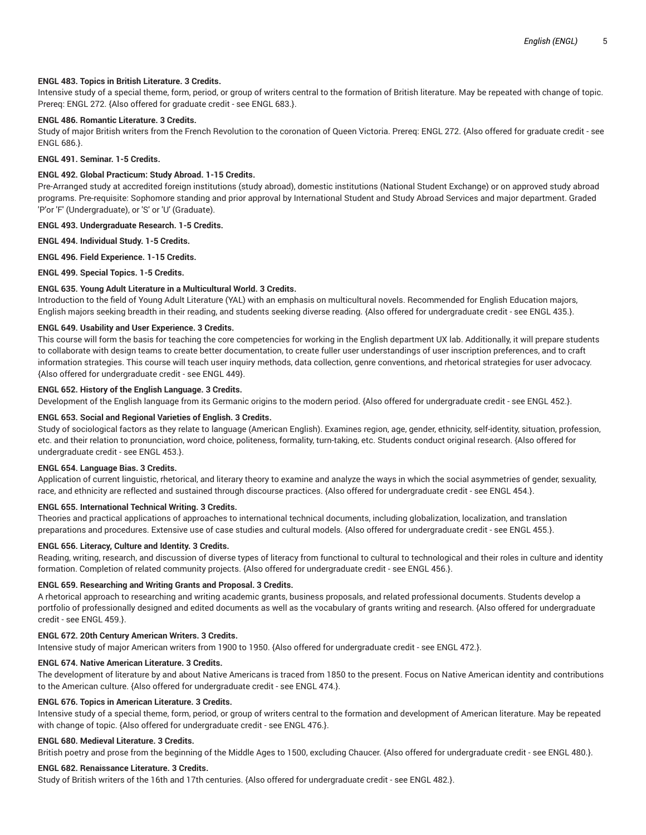## **ENGL 483. Topics in British Literature. 3 Credits.**

Intensive study of a special theme, form, period, or group of writers central to the formation of British literature. May be repeated with change of topic. Prereq: ENGL 272. {Also offered for graduate credit - see ENGL 683.}.

# **ENGL 486. Romantic Literature. 3 Credits.**

Study of major British writers from the French Revolution to the coronation of Queen Victoria. Prereq: ENGL 272. {Also offered for graduate credit - see ENGL 686.}.

#### **ENGL 491. Seminar. 1-5 Credits.**

## **ENGL 492. Global Practicum: Study Abroad. 1-15 Credits.**

Pre-Arranged study at accredited foreign institutions (study abroad), domestic institutions (National Student Exchange) or on approved study abroad programs. Pre-requisite: Sophomore standing and prior approval by International Student and Study Abroad Services and major department. Graded 'P'or 'F' (Undergraduate), or 'S' or 'U' (Graduate).

## **ENGL 493. Undergraduate Research. 1-5 Credits.**

**ENGL 494. Individual Study. 1-5 Credits.**

**ENGL 496. Field Experience. 1-15 Credits.**

**ENGL 499. Special Topics. 1-5 Credits.**

## **ENGL 635. Young Adult Literature in a Multicultural World. 3 Credits.**

Introduction to the field of Young Adult Literature (YAL) with an emphasis on multicultural novels. Recommended for English Education majors, English majors seeking breadth in their reading, and students seeking diverse reading. {Also offered for undergraduate credit - see ENGL 435.}.

#### **ENGL 649. Usability and User Experience. 3 Credits.**

This course will form the basis for teaching the core competencies for working in the English department UX lab. Additionally, it will prepare students to collaborate with design teams to create better documentation, to create fuller user understandings of user inscription preferences, and to craft information strategies. This course will teach user inquiry methods, data collection, genre conventions, and rhetorical strategies for user advocacy. {Also offered for undergraduate credit - see ENGL 449}.

## **ENGL 652. History of the English Language. 3 Credits.**

Development of the English language from its Germanic origins to the modern period. {Also offered for undergraduate credit - see ENGL 452.}.

## **ENGL 653. Social and Regional Varieties of English. 3 Credits.**

Study of sociological factors as they relate to language (American English). Examines region, age, gender, ethnicity, self-identity, situation, profession, etc. and their relation to pronunciation, word choice, politeness, formality, turn-taking, etc. Students conduct original research. {Also offered for undergraduate credit - see ENGL 453.}.

## **ENGL 654. Language Bias. 3 Credits.**

Application of current linguistic, rhetorical, and literary theory to examine and analyze the ways in which the social asymmetries of gender, sexuality, race, and ethnicity are reflected and sustained through discourse practices. {Also offered for undergraduate credit - see ENGL 454.}.

#### **ENGL 655. International Technical Writing. 3 Credits.**

Theories and practical applications of approaches to international technical documents, including globalization, localization, and translation preparations and procedures. Extensive use of case studies and cultural models. {Also offered for undergraduate credit - see ENGL 455.}.

## **ENGL 656. Literacy, Culture and Identity. 3 Credits.**

Reading, writing, research, and discussion of diverse types of literacy from functional to cultural to technological and their roles in culture and identity formation. Completion of related community projects. {Also offered for undergraduate credit - see ENGL 456.}.

## **ENGL 659. Researching and Writing Grants and Proposal. 3 Credits.**

A rhetorical approach to researching and writing academic grants, business proposals, and related professional documents. Students develop a portfolio of professionally designed and edited documents as well as the vocabulary of grants writing and research. {Also offered for undergraduate credit - see ENGL 459.}.

## **ENGL 672. 20th Century American Writers. 3 Credits.**

Intensive study of major American writers from 1900 to 1950. {Also offered for undergraduate credit - see ENGL 472.}.

## **ENGL 674. Native American Literature. 3 Credits.**

The development of literature by and about Native Americans is traced from 1850 to the present. Focus on Native American identity and contributions to the American culture. {Also offered for undergraduate credit - see ENGL 474.}.

#### **ENGL 676. Topics in American Literature. 3 Credits.**

Intensive study of a special theme, form, period, or group of writers central to the formation and development of American literature. May be repeated with change of topic. {Also offered for undergraduate credit - see ENGL 476.}.

## **ENGL 680. Medieval Literature. 3 Credits.**

British poetry and prose from the beginning of the Middle Ages to 1500, excluding Chaucer. {Also offered for undergraduate credit - see ENGL 480.}.

## **ENGL 682. Renaissance Literature. 3 Credits.**

Study of British writers of the 16th and 17th centuries. {Also offered for undergraduate credit - see ENGL 482.}.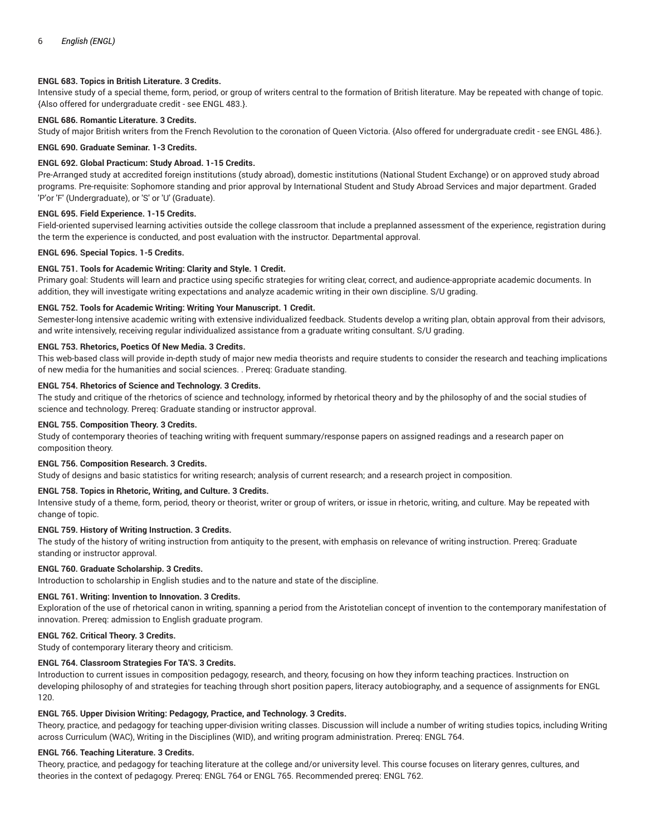## **ENGL 683. Topics in British Literature. 3 Credits.**

Intensive study of a special theme, form, period, or group of writers central to the formation of British literature. May be repeated with change of topic. {Also offered for undergraduate credit - see ENGL 483.}.

# **ENGL 686. Romantic Literature. 3 Credits.**

Study of major British writers from the French Revolution to the coronation of Queen Victoria. {Also offered for undergraduate credit - see ENGL 486.}.

#### **ENGL 690. Graduate Seminar. 1-3 Credits.**

## **ENGL 692. Global Practicum: Study Abroad. 1-15 Credits.**

Pre-Arranged study at accredited foreign institutions (study abroad), domestic institutions (National Student Exchange) or on approved study abroad programs. Pre-requisite: Sophomore standing and prior approval by International Student and Study Abroad Services and major department. Graded 'P'or 'F' (Undergraduate), or 'S' or 'U' (Graduate).

#### **ENGL 695. Field Experience. 1-15 Credits.**

Field-oriented supervised learning activities outside the college classroom that include a preplanned assessment of the experience, registration during the term the experience is conducted, and post evaluation with the instructor. Departmental approval.

#### **ENGL 696. Special Topics. 1-5 Credits.**

## **ENGL 751. Tools for Academic Writing: Clarity and Style. 1 Credit.**

Primary goal: Students will learn and practice using specific strategies for writing clear, correct, and audience-appropriate academic documents. In addition, they will investigate writing expectations and analyze academic writing in their own discipline. S/U grading.

#### **ENGL 752. Tools for Academic Writing: Writing Your Manuscript. 1 Credit.**

Semester-long intensive academic writing with extensive individualized feedback. Students develop a writing plan, obtain approval from their advisors, and write intensively, receiving regular individualized assistance from a graduate writing consultant. S/U grading.

## **ENGL 753. Rhetorics, Poetics Of New Media. 3 Credits.**

This web-based class will provide in-depth study of major new media theorists and require students to consider the research and teaching implications of new media for the humanities and social sciences. . Prereq: Graduate standing.

#### **ENGL 754. Rhetorics of Science and Technology. 3 Credits.**

The study and critique of the rhetorics of science and technology, informed by rhetorical theory and by the philosophy of and the social studies of science and technology. Prereq: Graduate standing or instructor approval.

## **ENGL 755. Composition Theory. 3 Credits.**

Study of contemporary theories of teaching writing with frequent summary/response papers on assigned readings and a research paper on composition theory.

#### **ENGL 756. Composition Research. 3 Credits.**

Study of designs and basic statistics for writing research; analysis of current research; and a research project in composition.

## **ENGL 758. Topics in Rhetoric, Writing, and Culture. 3 Credits.**

Intensive study of a theme, form, period, theory or theorist, writer or group of writers, or issue in rhetoric, writing, and culture. May be repeated with change of topic.

## **ENGL 759. History of Writing Instruction. 3 Credits.**

The study of the history of writing instruction from antiquity to the present, with emphasis on relevance of writing instruction. Prereq: Graduate standing or instructor approval.

#### **ENGL 760. Graduate Scholarship. 3 Credits.**

Introduction to scholarship in English studies and to the nature and state of the discipline.

#### **ENGL 761. Writing: Invention to Innovation. 3 Credits.**

Exploration of the use of rhetorical canon in writing, spanning a period from the Aristotelian concept of invention to the contemporary manifestation of innovation. Prereq: admission to English graduate program.

#### **ENGL 762. Critical Theory. 3 Credits.**

Study of contemporary literary theory and criticism.

## **ENGL 764. Classroom Strategies For TA'S. 3 Credits.**

Introduction to current issues in composition pedagogy, research, and theory, focusing on how they inform teaching practices. Instruction on developing philosophy of and strategies for teaching through short position papers, literacy autobiography, and a sequence of assignments for ENGL 120.

## **ENGL 765. Upper Division Writing: Pedagogy, Practice, and Technology. 3 Credits.**

Theory, practice, and pedagogy for teaching upper-division writing classes. Discussion will include a number of writing studies topics, including Writing across Curriculum (WAC), Writing in the Disciplines (WID), and writing program administration. Prereq: ENGL 764.

## **ENGL 766. Teaching Literature. 3 Credits.**

Theory, practice, and pedagogy for teaching literature at the college and/or university level. This course focuses on literary genres, cultures, and theories in the context of pedagogy. Prereq: ENGL 764 or ENGL 765. Recommended prereq: ENGL 762.